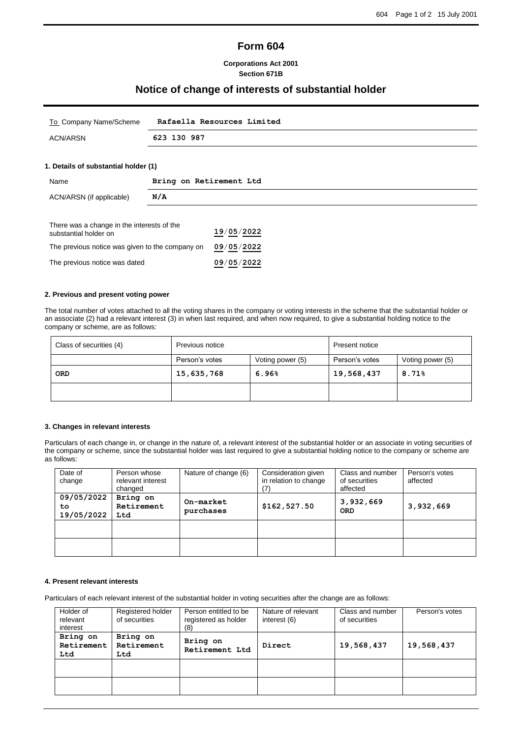# **Form 604**

## **Corporations Act 2001 Section 671B**

## **Notice of change of interests of substantial holder**

| To Company Name/Scheme | Rafaella Resources Limited |
|------------------------|----------------------------|
| ACN/ARSN               | 623 130 987                |
|                        |                            |

### **1. Details of substantial holder (1)**

| Name                                                                | Bring on Retirement Ltd |  |
|---------------------------------------------------------------------|-------------------------|--|
| ACN/ARSN (if applicable)                                            | N/A                     |  |
| There was a change in the interests of the<br>substantial holder on | 19/05/2022              |  |

| əupətanıtlar noluci on                          |            |
|-------------------------------------------------|------------|
| The previous notice was given to the company on | 09/05/2022 |
| The previous notice was dated                   | 09/05/2022 |

#### **2. Previous and present voting power**

The total number of votes attached to all the voting shares in the company or voting interests in the scheme that the substantial holder or an associate (2) had a relevant interest (3) in when last required, and when now required, to give a substantial holding notice to the company or scheme, are as follows:

| Class of securities (4) | Previous notice |                  | Present notice |                  |  |
|-------------------------|-----------------|------------------|----------------|------------------|--|
|                         | Person's votes  | Voting power (5) | Person's votes | Voting power (5) |  |
| <b>ORD</b>              | 15,635,768      | 6.96%            | 19,568,437     | 8.71%            |  |
|                         |                 |                  |                |                  |  |

#### **3. Changes in relevant interests**

Particulars of each change in, or change in the nature of, a relevant interest of the substantial holder or an associate in voting securities of the company or scheme, since the substantial holder was last required to give a substantial holding notice to the company or scheme are as follows:

| Date of<br>change              | Person whose<br>relevant interest<br>changed | Nature of change (6)   | Consideration given<br>in relation to change | Class and number<br>of securities<br>affected | Person's votes<br>affected |
|--------------------------------|----------------------------------------------|------------------------|----------------------------------------------|-----------------------------------------------|----------------------------|
| 09/05/2022<br>to<br>19/05/2022 | Bring on<br>Retirement<br>Ltd                | On-market<br>purchases | \$162,527.50                                 | 3,932,669<br><b>ORD</b>                       | 3,932,669                  |
|                                |                                              |                        |                                              |                                               |                            |
|                                |                                              |                        |                                              |                                               |                            |

## **4. Present relevant interests**

Particulars of each relevant interest of the substantial holder in voting securities after the change are as follows:

| Holder of<br>relevant<br>interest | Registered holder<br>of securities | Person entitled to be<br>registered as holder<br>(8) | Nature of relevant<br>interest (6) | Class and number<br>of securities | Person's votes |
|-----------------------------------|------------------------------------|------------------------------------------------------|------------------------------------|-----------------------------------|----------------|
| Bring on<br>Retirement<br>Ltd     | Bring on<br>Retirement<br>Ltd      | Bring on<br>Retirement Ltd                           | Direct                             | 19,568,437                        | 19,568,437     |
|                                   |                                    |                                                      |                                    |                                   |                |
|                                   |                                    |                                                      |                                    |                                   |                |